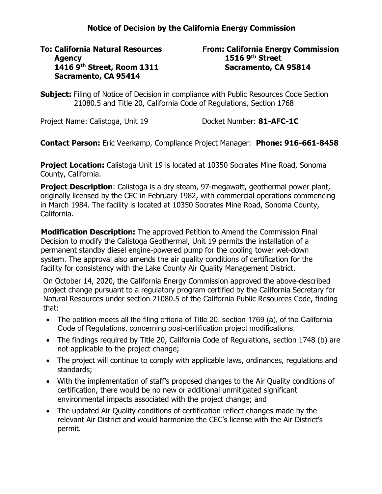## **Notice of Decision by the California Energy Commission**

**To: California Natural Resources Agency 1416 9th Street, Room 1311 Sacramento, CA 95414**

## **From: California Energy Commission 1516 9th Street Sacramento, CA 95814**

**Subject:** Filing of Notice of Decision in compliance with Public Resources Code Section 21080.5 and Title 20, California Code of Regulations, Section 1768

Project Name: Calistoga, Unit 19 Docket Number: 81-AFC-1C

**Contact Person:** Eric Veerkamp, Compliance Project Manager: **Phone: 916-661-8458**

**Project Location:** Calistoga Unit 19 is located at 10350 Socrates Mine Road, Sonoma County, California.

**Project Description**: Calistoga is a dry steam, 97-megawatt, geothermal power plant, originally licensed by the CEC in February 1982, with commercial operations commencing in March 1984. The facility is located at 10350 Socrates Mine Road, Sonoma County, California.

**Modification Description:** The approved Petition to Amend the Commission Final Decision to modify the Calistoga Geothermal, Unit 19 permits the installation of a permanent standby diesel engine-powered pump for the cooling tower wet-down system. The approval also amends the air quality conditions of certification for the facility for consistency with the Lake County Air Quality Management District.

On October 14, 2020, the California Energy Commission approved the above-described project change pursuant to a regulatory program certified by the California Secretary for Natural Resources under section 21080.5 of the California Public Resources Code, finding that:

- The petition meets all the filing criteria of Title 20, section 1769 (a), of the California Code of Regulations, concerning post-certification project modifications;
- The findings required by Title 20, California Code of Regulations, section 1748 (b) are not applicable to the project change;
- The project will continue to comply with applicable laws, ordinances, regulations and standards;
- With the implementation of staff's proposed changes to the Air Quality conditions of certification, there would be no new or additional unmitigated significant environmental impacts associated with the project change; and
- The updated Air Quality conditions of certification reflect changes made by the relevant Air District and would harmonize the CEC's license with the Air District's permit.